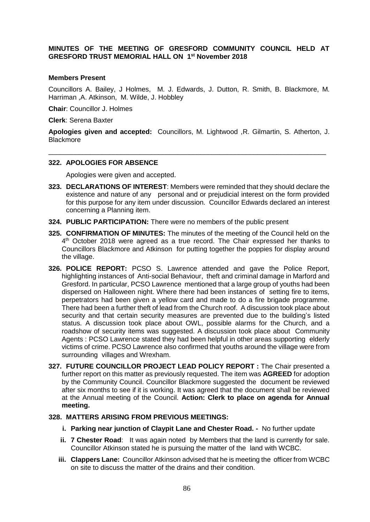## **MINUTES OF THE MEETING OF GRESFORD COMMUNITY COUNCIL HELD AT GRESFORD TRUST MEMORIAL HALL ON 1 st November 2018**

#### **Members Present**

Councillors A. Bailey, J Holmes, M. J. Edwards, J. Dutton, R. Smith, B. Blackmore, M. Harriman ,A. Atkinson, M. Wilde, J. Hobbley

**Chair**: Councillor J. Holmes

**Clerk**: Serena Baxter

**Apologies given and accepted:** Councillors, M. Lightwood ,R. Gilmartin, S. Atherton, J. **Blackmore** 

\_\_\_\_\_\_\_\_\_\_\_\_\_\_\_\_\_\_\_\_\_\_\_\_\_\_\_\_\_\_\_\_\_\_\_\_\_\_\_\_\_\_\_\_\_\_\_\_\_\_\_\_\_\_\_\_\_\_\_\_\_\_\_\_\_\_\_\_\_\_\_\_\_

#### **322. APOLOGIES FOR ABSENCE**

Apologies were given and accepted.

- **323. DECLARATIONS OF INTEREST**: Members were reminded that they should declare the existence and nature of any personal and or prejudicial interest on the form provided for this purpose for any item under discussion. Councillor Edwards declared an interest concerning a Planning item.
- **324. PUBLIC PARTICIPATION:** There were no members of the public present
- **325. CONFIRMATION OF MINUTES:** The minutes of the meeting of the Council held on the 4<sup>th</sup> October 2018 were agreed as a true record. The Chair expressed her thanks to Councillors Blackmore and Atkinson for putting together the poppies for display around the village.
- **326. POLICE REPORT:** PCSO S. Lawrence attended and gave the Police Report, highlighting instances of Anti-social Behaviour, theft and criminal damage in Marford and Gresford. In particular, PCSO Lawrence mentioned that a large group of youths had been dispersed on Halloween night. Where there had been instances of setting fire to items, perpetrators had been given a yellow card and made to do a fire brigade programme. There had been a further theft of lead from the Church roof. A discussion took place about security and that certain security measures are prevented due to the building's listed status. A discussion took place about OWL, possible alarms for the Church, and a roadshow of security items was suggested. A discussion took place about Community Agents : PCSO Lawrence stated they had been helpful in other areas supporting elderly victims of crime. PCSO Lawrence also confirmed that youths around the village were from surrounding villages and Wrexham.
- **327. FUTURE COUNCILLOR PROJECT LEAD POLICY REPORT :** The Chair presented a further report on this matter as previously requested. The item was **AGREED** for adoption by the Community Council. Councillor Blackmore suggested the document be reviewed after six months to see if it is working. It was agreed that the document shall be reviewed at the Annual meeting of the Council. **Action: Clerk to place on agenda for Annual meeting.**

#### **328. MATTERS ARISING FROM PREVIOUS MEETINGS:**

- **i. Parking near junction of Claypit Lane and Chester Road.** No further update
- **ii. 7 Chester Road**: It was again noted by Members that the land is currently for sale. Councillor Atkinson stated he is pursuing the matter of the land with WCBC.
- **iii. Clappers Lane:** Councillor Atkinson advised that he is meeting the officer from WCBC on site to discuss the matter of the drains and their condition.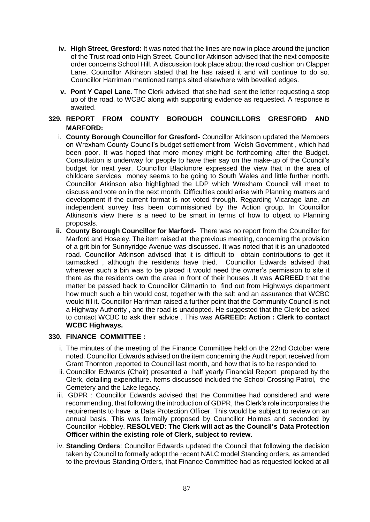- **iv. High Street, Gresford:** It was noted that the lines are now in place around the junction of the Trust road onto High Street. Councillor Atkinson advised that the next composite order concerns School Hill. A discussion took place about the road cushion on Clapper Lane. Councillor Atkinson stated that he has raised it and will continue to do so. Councillor Harriman mentioned ramps sited elsewhere with bevelled edges.
- **v. Pont Y Capel Lane.** The Clerk advised that she had sent the letter requesting a stop up of the road, to WCBC along with supporting evidence as requested. A response is awaited.

# **329. REPORT FROM COUNTY BOROUGH COUNCILLORS GRESFORD AND MARFORD:**

- i. **County Borough Councillor for Gresford-** Councillor Atkinson updated the Members on Wrexham County Council's budget settlement from Welsh Government , which had been poor. It was hoped that more money might be forthcoming after the Budget. Consultation is underway for people to have their say on the make-up of the Council's budget for next year. Councillor Blackmore expressed the view that in the area of childcare services money seems to be going to South Wales and little further north. Councillor Atkinson also highlighted the LDP which Wrexham Council will meet to discuss and vote on in the next month. Difficulties could arise with Planning matters and development if the current format is not voted through. Regarding Vicarage lane, an independent survey has been commissioned by the Action group. In Councillor Atkinson's view there is a need to be smart in terms of how to object to Planning proposals.
- **ii. County Borough Councillor for Marford-** There was no report from the Councillor for Marford and Hoseley. The item raised at the previous meeting, concerning the provision of a grit bin for Sunnyridge Avenue was discussed. It was noted that it is an unadopted road. Councillor Atkinson advised that it is difficult to obtain contributions to get it tarmacked , although the residents have tried. Councillor Edwards advised that wherever such a bin was to be placed it would need the owner's permission to site it there as the residents own the area in front of their houses .It was **AGREED** that the matter be passed back to Councillor Gilmartin to find out from Highways department how much such a bin would cost, together with the salt and an assurance that WCBC would fill it. Councillor Harriman raised a further point that the Community Council is not a Highway Authority , and the road is unadopted. He suggested that the Clerk be asked to contact WCBC to ask their advice . This was **AGREED: Action : Clerk to contact WCBC Highways.**

## **330. FINANCE COMMITTEE :**

- i. The minutes of the meeting of the Finance Committee held on the 22nd October were noted. Councillor Edwards advised on the item concerning the Audit report received from Grant Thornton ,reported to Council last month, and how that is to be responded to.
- ii. Councillor Edwards (Chair) presented a half yearly Financial Report prepared by the Clerk, detailing expenditure. Items discussed included the School Crossing Patrol, the Cemetery and the Lake legacy.
- iii. GDPR : Councillor Edwards advised that the Committee had considered and were recommending, that following the introduction of GDPR, the Clerk's role incorporates the requirements to have a Data Protection Officer. This would be subject to review on an annual basis. This was formally proposed by Councillor Holmes and seconded by Councillor Hobbley. **RESOLVED: The Clerk will act as the Council's Data Protection Officer within the existing role of Clerk, subject to review.**
- iv. **Standing Orders**: Councillor Edwards updated the Council that following the decision taken by Council to formally adopt the recent NALC model Standing orders, as amended to the previous Standing Orders, that Finance Committee had as requested looked at all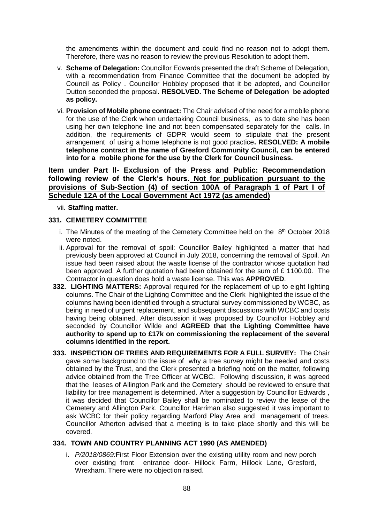the amendments within the document and could find no reason not to adopt them. Therefore, there was no reason to review the previous Resolution to adopt them.

- v. **Scheme of Delegation:** Councillor Edwards presented the draft Scheme of Delegation, with a recommendation from Finance Committee that the document be adopted by Council as Policy . Councillor Hobbley proposed that it be adopted, and Councillor Dutton seconded the proposal. **RESOLVED. The Scheme of Delegation be adopted as policy.**
- vi. **Provision of Mobile phone contract:** The Chair advised of the need for a mobile phone for the use of the Clerk when undertaking Council business, as to date she has been using her own telephone line and not been compensated separately for the calls. In addition, the requirements of GDPR would seem to stipulate that the present arrangement of using a home telephone is not good practice**. RESOLVED: A mobile telephone contract in the name of Gresford Community Council, can be entered into for a mobile phone for the use by the Clerk for Council business.**

# **Item under Part ll- Exclusion of the Press and Public: Recommendation following review of the Clerk's hours. Not for publication pursuant to the provisions of Sub-Section (4) of section 100A of Paragraph 1 of Part I of Schedule 12A of the Local Government Act 1972 (as amended)**

vii. **Staffing matter.**

#### **331. CEMETERY COMMITTEE**

- i. The Minutes of the meeting of the Cemetery Committee held on the  $8<sup>th</sup>$  October 2018 were noted.
- ii. Approval for the removal of spoil: Councillor Bailey highlighted a matter that had previously been approved at Council in July 2018, concerning the removal of Spoil. An issue had been raised about the waste license of the contractor whose quotation had been approved. A further quotation had been obtained for the sum of £ 1100.00. The Contractor in question does hold a waste license. This was **APPROVED**.
- **332. LIGHTING MATTERS:** Approval required for the replacement of up to eight lighting columns. The Chair of the Lighting Committee and the Clerk highlighted the issue of the columns having been identified through a structural survey commissioned by WCBC, as being in need of urgent replacement, and subsequent discussions with WCBC and costs having being obtained. After discussion it was proposed by Councillor Hobbley and seconded by Councillor Wilde and **AGREED that the Lighting Committee have authority to spend up to £17k on commissioning the replacement of the several columns identified in the report.**
- **333. INSPECTION OF TREES AND REQUIREMENTS FOR A FULL SURVEY:** The Chair gave some background to the issue of why a tree survey might be needed and costs obtained by the Trust, and the Clerk presented a briefing note on the matter, following advice obtained from the Tree Officer at WCBC. Following discussion, it was agreed that the leases of Allington Park and the Cemetery should be reviewed to ensure that liability for tree management is determined. After a suggestion by Councillor Edwards , it was decided that Councillor Bailey shall be nominated to review the lease of the Cemetery and Allington Park. Councillor Harriman also suggested it was important to ask WCBC for their policy regarding Marford Play Area and management of trees. Councillor Atherton advised that a meeting is to take place shortly and this will be covered.

## **334. TOWN AND COUNTRY PLANNING ACT 1990 (AS AMENDED)**

i. *P/2018/0869:*First Floor Extension over the existing utility room and new porch over existing front entrance door- Hillock Farm, Hillock Lane, Gresford, Wrexham. There were no objection raised.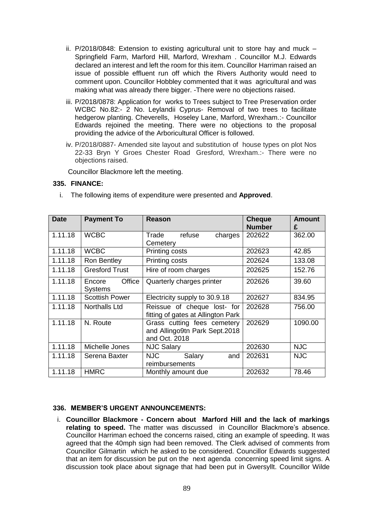- ii. P/2018/0848: Extension to existing agricultural unit to store hay and muck Springfield Farm, Marford Hill, Marford, Wrexham . Councillor M.J. Edwards declared an interest and left the room for this item. Councillor Harriman raised an issue of possible effluent run off which the Rivers Authority would need to comment upon. Councillor Hobbley commented that it was agricultural and was making what was already there bigger. -There were no objections raised.
- iii. P/2018/0878: Application for works to Trees subject to Tree Preservation order WCBC No.82:- 2 No. Leylandii Cyprus- Removal of two trees to facilitate hedgerow planting. Cheverells, Hoseley Lane, Marford, Wrexham.:- Councillor Edwards rejoined the meeting. There were no objections to the proposal providing the advice of the Arboricultural Officer is followed.
- iv. P/2018/0887- Amended site layout and substitution of house types on plot Nos 22-33 Bryn Y Groes Chester Road Gresford, Wrexham.:- There were no objections raised.

Councillor Blackmore left the meeting.

#### **335. FINANCE:**

i. The following items of expenditure were presented and **Approved**.

| <b>Date</b> | <b>Payment To</b>           | Reason                                                                        | <b>Cheque</b><br><b>Number</b> | <b>Amount</b><br>£ |
|-------------|-----------------------------|-------------------------------------------------------------------------------|--------------------------------|--------------------|
| 1.11.18     | <b>WCBC</b>                 | Trade<br>refuse<br>charges<br>Cemetery                                        | 202622                         | 362.00             |
| 1.11.18     | <b>WCBC</b>                 | Printing costs                                                                | 202623                         | 42.85              |
| 1.11.18     | Ron Bentley                 | Printing costs                                                                | 202624                         | 133.08             |
| 1.11.18     | <b>Gresford Trust</b>       | Hire of room charges                                                          | 202625                         | 152.76             |
| 1.11.18     | Office<br>Encore<br>Systems | Quarterly charges printer                                                     | 202626                         | 39.60              |
| 1.11.18     | <b>Scottish Power</b>       | Electricity supply to 30.9.18                                                 | 202627                         | 834.95             |
| 1.11.18     | Northalls Ltd               | Reissue of cheque lost- for<br>fitting of gates at Allington Park             | 202628                         | 756.00             |
| 1.11.18     | N. Route                    | Grass cutting fees cemetery<br>and Allingo9tn Park Sept.2018<br>and Oct. 2018 | 202629                         | 1090.00            |
| 1.11.18     | Michelle Jones              | <b>NJC Salary</b>                                                             | 202630                         | <b>NJC</b>         |
| 1.11.18     | Serena Baxter               | <b>NJC</b><br>Salary<br>and<br>reimbursements                                 | 202631                         | <b>NJC</b>         |
| 1.11.18     | <b>HMRC</b>                 | Monthly amount due                                                            | 202632                         | 78.46              |

#### **336. MEMBER'S URGENT ANNOUNCEMENTS:**

i. **Councillor Blackmore - Concern about Marford Hill and the lack of markings relating to speed.** The matter was discussed in Councillor Blackmore's absence. Councillor Harriman echoed the concerns raised, citing an example of speeding. It was agreed that the 40mph sign had been removed. The Clerk advised of comments from Councillor Gilmartin which he asked to be considered. Councillor Edwards suggested that an item for discussion be put on the next agenda concerning speed limit signs. A discussion took place about signage that had been put in Gwersyllt. Councillor Wilde